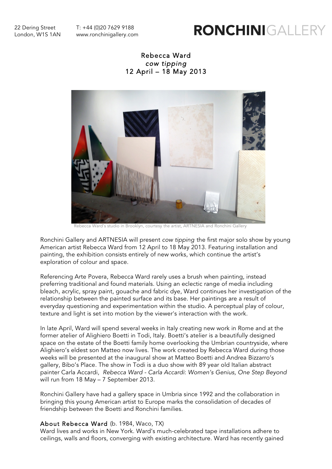22 Dering Street T: +44 (0)20 7629 9188 London, W1S 1AN www.ronchinigallery.com

# RONCHINIGALLE

## Rebecca Ward *cow tipping* 12 April – 18 May 2013



Rebecca Ward's studio in Brooklyn, courtesy the artist, ARTNESIA and Ronchini Gallery

Ronchini Gallery and ARTNESIA will present *cow tipping* the first major solo show by young American artist Rebecca Ward from 12 April to 18 May 2013. Featuring installation and painting, the exhibition consists entirely of new works, which continue the artist's exploration of colour and space.

Referencing Arte Povera, Rebecca Ward rarely uses a brush when painting, instead preferring traditional and found materials. Using an eclectic range of media including bleach, acrylic, spray paint, gouache and fabric dye, Ward continues her investigation of the relationship between the painted surface and its base. Her paintings are a result of everyday questioning and experimentation within the studio. A perceptual play of colour, texture and light is set into motion by the viewer's interaction with the work.

In late April, Ward will spend several weeks in Italy creating new work in Rome and at the former atelier of Alighiero Boetti in Todi, Italy. Boetti's atelier is a beautifully designed space on the estate of the Boetti family home overlooking the Umbrian countryside, where Alighiero's eldest son Matteo now lives. The work created by Rebecca Ward during those weeks will be presented at the inaugural show at Matteo Boetti and Andrea Bizzarro's gallery, Bibo's Place. The show in Todi is a duo show with 89 year old Italian abstract painter Carla Accardi, *Rebecca Ward - Carla Accardi*: *Women's Genius, One Step Beyond* will run from 18 May – 7 September 2013.

Ronchini Gallery have had a gallery space in Umbria since 1992 and the collaboration in bringing this young American artist to Europe marks the consolidation of decades of friendship between the Boetti and Ronchini families.

#### About Rebecca Ward (b. 1984, Waco, TX)

Ward lives and works in New York. Ward's much-celebrated tape installations adhere to ceilings, walls and floors, converging with existing architecture. Ward has recently gained